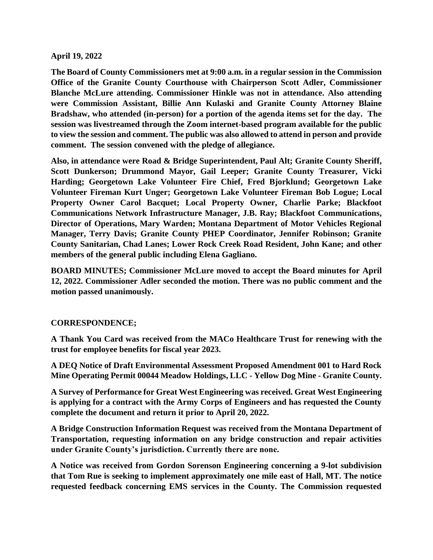## **April 19, 2022**

**The Board of County Commissioners met at 9:00 a.m. in a regular session in the Commission Office of the Granite County Courthouse with Chairperson Scott Adler, Commissioner Blanche McLure attending. Commissioner Hinkle was not in attendance. Also attending were Commission Assistant, Billie Ann Kulaski and Granite County Attorney Blaine Bradshaw, who attended (in-person) for a portion of the agenda items set for the day. The session was livestreamed through the Zoom internet-based program available for the public to view the session and comment. The public was also allowed to attend in person and provide comment. The session convened with the pledge of allegiance.**

**Also, in attendance were Road & Bridge Superintendent, Paul Alt; Granite County Sheriff, Scott Dunkerson; Drummond Mayor, Gail Leeper; Granite County Treasurer, Vicki Harding; Georgetown Lake Volunteer Fire Chief, Fred Bjorklund; Georgetown Lake Volunteer Fireman Kurt Unger; Georgetown Lake Volunteer Fireman Bob Logue; Local Property Owner Carol Bacquet; Local Property Owner, Charlie Parke; Blackfoot Communications Network Infrastructure Manager, J.B. Ray; Blackfoot Communications, Director of Operations, Mary Warden; Montana Department of Motor Vehicles Regional Manager, Terry Davis; Granite County PHEP Coordinator, Jennifer Robinson; Granite County Sanitarian, Chad Lanes; Lower Rock Creek Road Resident, John Kane; and other members of the general public including Elena Gagliano.** 

**BOARD MINUTES; Commissioner McLure moved to accept the Board minutes for April 12, 2022. Commissioner Adler seconded the motion. There was no public comment and the motion passed unanimously.** 

## **CORRESPONDENCE;**

**A Thank You Card was received from the MACo Healthcare Trust for renewing with the trust for employee benefits for fiscal year 2023.** 

**A DEQ Notice of Draft Environmental Assessment Proposed Amendment 001 to Hard Rock Mine Operating Permit 00044 Meadow Holdings, LLC - Yellow Dog Mine - Granite County.** 

**A Survey of Performance for Great West Engineering was received. Great West Engineering is applying for a contract with the Army Corps of Engineers and has requested the County complete the document and return it prior to April 20, 2022.**

**A Bridge Construction Information Request was received from the Montana Department of Transportation, requesting information on any bridge construction and repair activities under Granite County's jurisdiction. Currently there are none.** 

**A Notice was received from Gordon Sorenson Engineering concerning a 9-lot subdivision that Tom Rue is seeking to implement approximately one mile east of Hall, MT. The notice requested feedback concerning EMS services in the County. The Commission requested**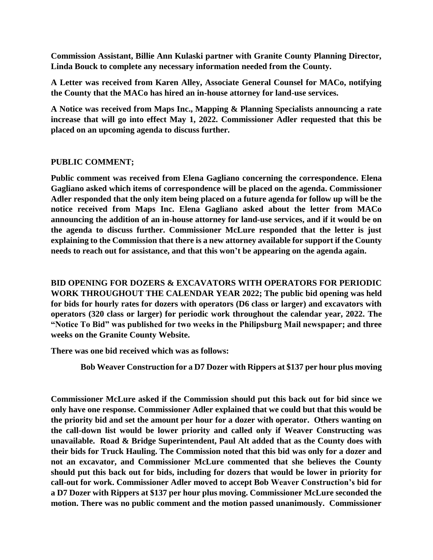**Commission Assistant, Billie Ann Kulaski partner with Granite County Planning Director, Linda Bouck to complete any necessary information needed from the County.** 

**A Letter was received from Karen Alley, Associate General Counsel for MACo, notifying the County that the MACo has hired an in-house attorney for land-use services.** 

**A Notice was received from Maps Inc., Mapping & Planning Specialists announcing a rate increase that will go into effect May 1, 2022. Commissioner Adler requested that this be placed on an upcoming agenda to discuss further.** 

## **PUBLIC COMMENT;**

**Public comment was received from Elena Gagliano concerning the correspondence. Elena Gagliano asked which items of correspondence will be placed on the agenda. Commissioner Adler responded that the only item being placed on a future agenda for follow up will be the notice received from Maps Inc. Elena Gagliano asked about the letter from MACo announcing the addition of an in-house attorney for land-use services, and if it would be on the agenda to discuss further. Commissioner McLure responded that the letter is just explaining to the Commission that there is a new attorney available for support if the County needs to reach out for assistance, and that this won't be appearing on the agenda again.** 

**BID OPENING FOR DOZERS & EXCAVATORS WITH OPERATORS FOR PERIODIC WORK THROUGHOUT THE CALENDAR YEAR 2022; The public bid opening was held for bids for hourly rates for dozers with operators (D6 class or larger) and excavators with operators (320 class or larger) for periodic work throughout the calendar year, 2022. The "Notice To Bid" was published for two weeks in the Philipsburg Mail newspaper; and three weeks on the Granite County Website.** 

**There was one bid received which was as follows:** 

 **Bob Weaver Construction for a D7 Dozer with Rippers at \$137 per hour plus moving**

**Commissioner McLure asked if the Commission should put this back out for bid since we only have one response. Commissioner Adler explained that we could but that this would be the priority bid and set the amount per hour for a dozer with operator. Others wanting on the call-down list would be lower priority and called only if Weaver Constructing was unavailable. Road & Bridge Superintendent, Paul Alt added that as the County does with their bids for Truck Hauling. The Commission noted that this bid was only for a dozer and not an excavator, and Commissioner McLure commented that she believes the County should put this back out for bids, including for dozers that would be lower in priority for call-out for work. Commissioner Adler moved to accept Bob Weaver Construction's bid for a D7 Dozer with Rippers at \$137 per hour plus moving. Commissioner McLure seconded the motion. There was no public comment and the motion passed unanimously. Commissioner**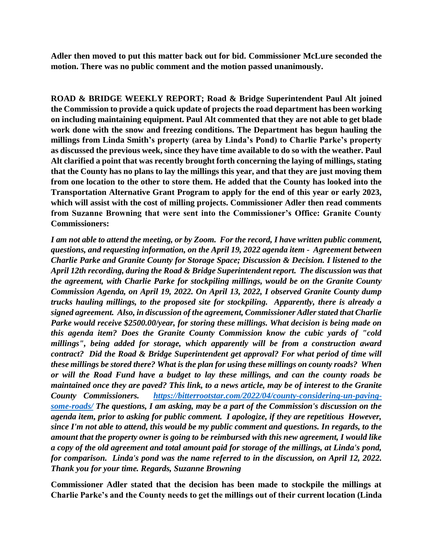**Adler then moved to put this matter back out for bid. Commissioner McLure seconded the motion. There was no public comment and the motion passed unanimously.** 

**ROAD & BRIDGE WEEKLY REPORT; Road & Bridge Superintendent Paul Alt joined the Commission to provide a quick update of projects the road department has been working on including maintaining equipment. Paul Alt commented that they are not able to get blade work done with the snow and freezing conditions. The Department has begun hauling the millings from Linda Smith's property (area by Linda's Pond) to Charlie Parke's property as discussed the previous week, since they have time available to do so with the weather. Paul Alt clarified a point that was recently brought forth concerning the laying of millings, stating that the County has no plans to lay the millings this year, and that they are just moving them from one location to the other to store them. He added that the County has looked into the Transportation Alternative Grant Program to apply for the end of this year or early 2023, which will assist with the cost of milling projects. Commissioner Adler then read comments from Suzanne Browning that were sent into the Commissioner's Office: Granite County Commissioners:**

*I am not able to attend the meeting, or by Zoom. For the record, I have written public comment, questions, and requesting information, on the April 19, 2022 agenda item - Agreement between Charlie Parke and Granite County for Storage Space; Discussion & Decision. I listened to the April 12th recording, during the Road & Bridge Superintendent report. The discussion was that the agreement, with Charlie Parke for stockpiling millings, would be on the Granite County Commission Agenda, on April 19, 2022. On April 13, 2022, I observed Granite County dump trucks hauling millings, to the proposed site for stockpiling. Apparently, there is already a signed agreement. Also, in discussion of the agreement, Commissioner Adler stated that Charlie Parke would receive \$2500.00/year, for storing these millings. What decision is being made on this agenda item? Does the Granite County Commission know the cubic yards of "cold millings", being added for storage, which apparently will be from a construction award contract? Did the Road & Bridge Superintendent get approval? For what period of time will these millings be stored there? What is the plan for using these millings on county roads? When or will the Road Fund have a budget to lay these millings, and can the county roads be maintained once they are paved? This link, to a news article, may be of interest to the Granite County Commissioners. [https://bitterrootstar.com/2022/04/county-considering-un-paving](https://bitterrootstar.com/2022/04/county-considering-un-paving-some-roads/)[some-roads/](https://bitterrootstar.com/2022/04/county-considering-un-paving-some-roads/) The questions, I am asking, may be a part of the Commission's discussion on the agenda item, prior to asking for public comment. I apologize, if they are repetitious However, since I'm not able to attend, this would be my public comment and questions. In regards, to the amount that the property owner is going to be reimbursed with this new agreement, I would like a copy of the old agreement and total amount paid for storage of the millings, at Linda's pond, for comparison. Linda's pond was the name referred to in the discussion, on April 12, 2022. Thank you for your time. Regards, Suzanne Browning* 

**Commissioner Adler stated that the decision has been made to stockpile the millings at Charlie Parke's and the County needs to get the millings out of their current location (Linda**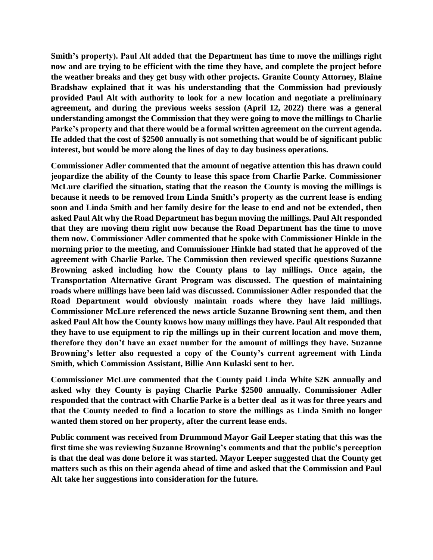**Smith's property). Paul Alt added that the Department has time to move the millings right now and are trying to be efficient with the time they have, and complete the project before the weather breaks and they get busy with other projects. Granite County Attorney, Blaine Bradshaw explained that it was his understanding that the Commission had previously provided Paul Alt with authority to look for a new location and negotiate a preliminary agreement, and during the previous weeks session (April 12, 2022) there was a general understanding amongst the Commission that they were going to move the millings to Charlie Parke's property and that there would be a formal written agreement on the current agenda. He added that the cost of \$2500 annually is not something that would be of significant public interest, but would be more along the lines of day to day business operations.** 

**Commissioner Adler commented that the amount of negative attention this has drawn could jeopardize the ability of the County to lease this space from Charlie Parke. Commissioner McLure clarified the situation, stating that the reason the County is moving the millings is because it needs to be removed from Linda Smith's property as the current lease is ending soon and Linda Smith and her family desire for the lease to end and not be extended, then asked Paul Alt why the Road Department has begun moving the millings. Paul Alt responded that they are moving them right now because the Road Department has the time to move them now. Commissioner Adler commented that he spoke with Commissioner Hinkle in the morning prior to the meeting, and Commissioner Hinkle had stated that he approved of the agreement with Charlie Parke. The Commission then reviewed specific questions Suzanne Browning asked including how the County plans to lay millings. Once again, the Transportation Alternative Grant Program was discussed. The question of maintaining roads where millings have been laid was discussed. Commissioner Adler responded that the Road Department would obviously maintain roads where they have laid millings. Commissioner McLure referenced the news article Suzanne Browning sent them, and then asked Paul Alt how the County knows how many millings they have. Paul Alt responded that they have to use equipment to rip the millings up in their current location and move them, therefore they don't have an exact number for the amount of millings they have. Suzanne Browning's letter also requested a copy of the County's current agreement with Linda Smith, which Commission Assistant, Billie Ann Kulaski sent to her.** 

**Commissioner McLure commented that the County paid Linda White \$2K annually and asked why they County is paying Charlie Parke \$2500 annually. Commissioner Adler responded that the contract with Charlie Parke is a better deal as it was for three years and that the County needed to find a location to store the millings as Linda Smith no longer wanted them stored on her property, after the current lease ends.** 

**Public comment was received from Drummond Mayor Gail Leeper stating that this was the first time she was reviewing Suzanne Browning's comments and that the public's perception is that the deal was done before it was started. Mayor Leeper suggested that the County get matters such as this on their agenda ahead of time and asked that the Commission and Paul Alt take her suggestions into consideration for the future.**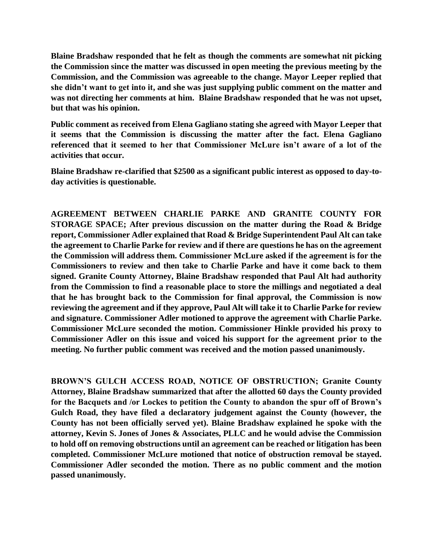**Blaine Bradshaw responded that he felt as though the comments are somewhat nit picking the Commission since the matter was discussed in open meeting the previous meeting by the Commission, and the Commission was agreeable to the change. Mayor Leeper replied that she didn't want to get into it, and she was just supplying public comment on the matter and was not directing her comments at him. Blaine Bradshaw responded that he was not upset, but that was his opinion.** 

**Public comment as received from Elena Gagliano stating she agreed with Mayor Leeper that it seems that the Commission is discussing the matter after the fact. Elena Gagliano referenced that it seemed to her that Commissioner McLure isn't aware of a lot of the activities that occur.** 

**Blaine Bradshaw re-clarified that \$2500 as a significant public interest as opposed to day-today activities is questionable.** 

**AGREEMENT BETWEEN CHARLIE PARKE AND GRANITE COUNTY FOR STORAGE SPACE; After previous discussion on the matter during the Road & Bridge report, Commissioner Adler explained that Road & Bridge Superintendent Paul Alt can take the agreement to Charlie Parke for review and if there are questions he has on the agreement the Commission will address them. Commissioner McLure asked if the agreement is for the Commissioners to review and then take to Charlie Parke and have it come back to them signed. Granite County Attorney, Blaine Bradshaw responded that Paul Alt had authority from the Commission to find a reasonable place to store the millings and negotiated a deal that he has brought back to the Commission for final approval, the Commission is now reviewing the agreement and if they approve, Paul Alt will take it to Charlie Parke for review and signature. Commissioner Adler motioned to approve the agreement with Charlie Parke. Commissioner McLure seconded the motion. Commissioner Hinkle provided his proxy to Commissioner Adler on this issue and voiced his support for the agreement prior to the meeting. No further public comment was received and the motion passed unanimously.** 

**BROWN'S GULCH ACCESS ROAD, NOTICE OF OBSTRUCTION; Granite County Attorney, Blaine Bradshaw summarized that after the allotted 60 days the County provided for the Bacquets and /or Lockes to petition the County to abandon the spur off of Brown's Gulch Road, they have filed a declaratory judgement against the County (however, the County has not been officially served yet). Blaine Bradshaw explained he spoke with the attorney, Kevin S. Jones of Jones & Associates, PLLC and he would advise the Commission to hold off on removing obstructions until an agreement can be reached or litigation has been completed. Commissioner McLure motioned that notice of obstruction removal be stayed. Commissioner Adler seconded the motion. There as no public comment and the motion passed unanimously.**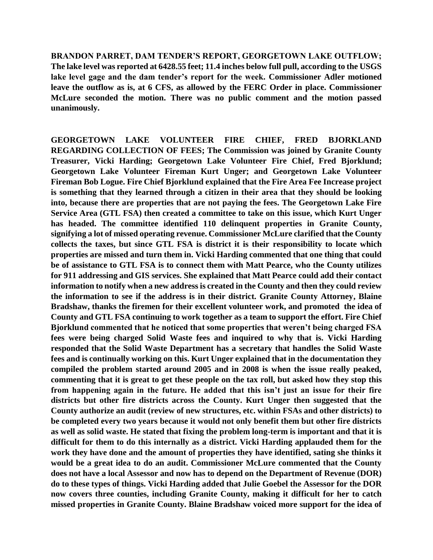**BRANDON PARRET, DAM TENDER'S REPORT, GEORGETOWN LAKE OUTFLOW; The lake level was reported at 6428.55 feet; 11.4 inches below full pull, according to the USGS lake level gage and the dam tender's report for the week. Commissioner Adler motioned leave the outflow as is, at 6 CFS, as allowed by the FERC Order in place. Commissioner McLure seconded the motion. There was no public comment and the motion passed unanimously.** 

**GEORGETOWN LAKE VOLUNTEER FIRE CHIEF, FRED BJORKLAND REGARDING COLLECTION OF FEES; The Commission was joined by Granite County Treasurer, Vicki Harding; Georgetown Lake Volunteer Fire Chief, Fred Bjorklund; Georgetown Lake Volunteer Fireman Kurt Unger; and Georgetown Lake Volunteer Fireman Bob Logue. Fire Chief Bjorklund explained that the Fire Area Fee Increase project is something that they learned through a citizen in their area that they should be looking into, because there are properties that are not paying the fees. The Georgetown Lake Fire Service Area (GTL FSA) then created a committee to take on this issue, which Kurt Unger has headed. The committee identified 110 delinquent properties in Granite County, signifying a lot of missed operating revenue. Commissioner McLure clarified that the County collects the taxes, but since GTL FSA is district it is their responsibility to locate which properties are missed and turn them in. Vicki Harding commented that one thing that could be of assistance to GTL FSA is to connect them with Matt Pearce, who the County utilizes for 911 addressing and GIS services. She explained that Matt Pearce could add their contact information to notify when a new address is created in the County and then they could review the information to see if the address is in their district. Granite County Attorney, Blaine Bradshaw, thanks the firemen for their excellent volunteer work, and promoted the idea of County and GTL FSA continuing to work together as a team to support the effort. Fire Chief Bjorklund commented that he noticed that some properties that weren't being charged FSA fees were being charged Solid Waste fees and inquired to why that is. Vicki Harding responded that the Solid Waste Department has a secretary that handles the Solid Waste fees and is continually working on this. Kurt Unger explained that in the documentation they compiled the problem started around 2005 and in 2008 is when the issue really peaked, commenting that it is great to get these people on the tax roll, but asked how they stop this from happening again in the future. He added that this isn't just an issue for their fire districts but other fire districts across the County. Kurt Unger then suggested that the County authorize an audit (review of new structures, etc. within FSAs and other districts) to be completed every two years because it would not only benefit them but other fire districts as well as solid waste. He stated that fixing the problem long-term is important and that it is difficult for them to do this internally as a district. Vicki Harding applauded them for the work they have done and the amount of properties they have identified, sating she thinks it would be a great idea to do an audit. Commissioner McLure commented that the County does not have a local Assessor and now has to depend on the Department of Revenue (DOR) do to these types of things. Vicki Harding added that Julie Goebel the Assessor for the DOR now covers three counties, including Granite County, making it difficult for her to catch missed properties in Granite County. Blaine Bradshaw voiced more support for the idea of**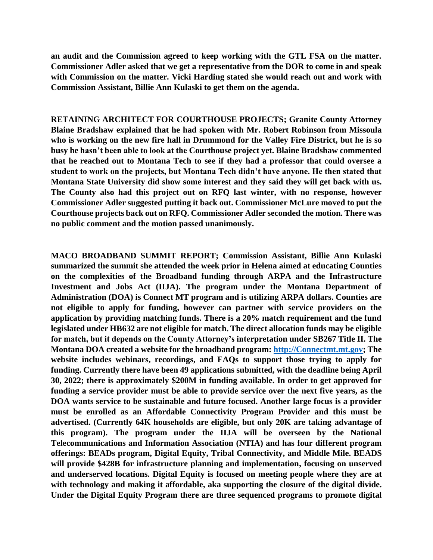**an audit and the Commission agreed to keep working with the GTL FSA on the matter. Commissioner Adler asked that we get a representative from the DOR to come in and speak with Commission on the matter. Vicki Harding stated she would reach out and work with Commission Assistant, Billie Ann Kulaski to get them on the agenda.** 

**RETAINING ARCHITECT FOR COURTHOUSE PROJECTS; Granite County Attorney Blaine Bradshaw explained that he had spoken with Mr. Robert Robinson from Missoula who is working on the new fire hall in Drummond for the Valley Fire District, but he is so busy he hasn't been able to look at the Courthouse project yet. Blaine Bradshaw commented that he reached out to Montana Tech to see if they had a professor that could oversee a student to work on the projects, but Montana Tech didn't have anyone. He then stated that Montana State University did show some interest and they said they will get back with us. The County also had this project out on RFQ last winter, with no response, however Commissioner Adler suggested putting it back out. Commissioner McLure moved to put the Courthouse projects back out on RFQ. Commissioner Adler seconded the motion. There was no public comment and the motion passed unanimously.** 

**MACO BROADBAND SUMMIT REPORT; Commission Assistant, Billie Ann Kulaski summarized the summit she attended the week prior in Helena aimed at educating Counties on the complexities of the Broadband funding through ARPA and the Infrastructure Investment and Jobs Act (IIJA). The program under the Montana Department of Administration (DOA) is Connect MT program and is utilizing ARPA dollars. Counties are not eligible to apply for funding, however can partner with service providers on the application by providing matching funds. There is a 20% match requirement and the fund legislated under HB632 are not eligible for match. The direct allocation funds may be eligible for match, but it depends on the County Attorney's interpretation under SB267 Title II. The Montana DOA created a website for the broadband program: [http://Connectmt.mt.gov;](http://connectmt.mt.gov/) The website includes webinars, recordings, and FAQs to support those trying to apply for funding. Currently there have been 49 applications submitted, with the deadline being April 30, 2022; there is approximately \$200M in funding available. In order to get approved for funding a service provider must be able to provide service over the next five years, as the DOA wants service to be sustainable and future focused. Another large focus is a provider must be enrolled as an Affordable Connectivity Program Provider and this must be advertised. (Currently 64K households are eligible, but only 20K are taking advantage of this program). The program under the IIJA will be overseen by the National Telecommunications and Information Association (NTIA) and has four different program offerings: BEADs program, Digital Equity, Tribal Connectivity, and Middle Mile. BEADS will provide \$428B for infrastructure planning and implementation, focusing on unserved and underserved locations. Digital Equity is focused on meeting people where they are at with technology and making it affordable, aka supporting the closure of the digital divide. Under the Digital Equity Program there are three sequenced programs to promote digital**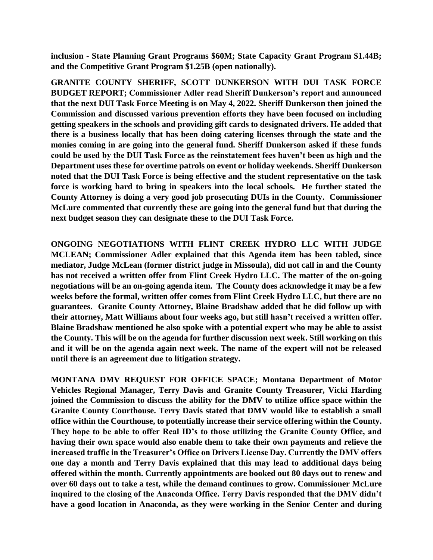**inclusion - State Planning Grant Programs \$60M; State Capacity Grant Program \$1.44B; and the Competitive Grant Program \$1.25B (open nationally).**

**GRANITE COUNTY SHERIFF, SCOTT DUNKERSON WITH DUI TASK FORCE BUDGET REPORT; Commissioner Adler read Sheriff Dunkerson's report and announced that the next DUI Task Force Meeting is on May 4, 2022. Sheriff Dunkerson then joined the Commission and discussed various prevention efforts they have been focused on including getting speakers in the schools and providing gift cards to designated drivers. He added that there is a business locally that has been doing catering licenses through the state and the monies coming in are going into the general fund. Sheriff Dunkerson asked if these funds could be used by the DUI Task Force as the reinstatement fees haven't been as high and the Department uses these for overtime patrols on event or holiday weekends. Sheriff Dunkerson noted that the DUI Task Force is being effective and the student representative on the task force is working hard to bring in speakers into the local schools. He further stated the County Attorney is doing a very good job prosecuting DUIs in the County. Commissioner McLure commented that currently these are going into the general fund but that during the next budget season they can designate these to the DUI Task Force.** 

**ONGOING NEGOTIATIONS WITH FLINT CREEK HYDRO LLC WITH JUDGE MCLEAN; Commissioner Adler explained that this Agenda item has been tabled, since mediator, Judge McLean (former district judge in Missoula), did not call in and the County has not received a written offer from Flint Creek Hydro LLC. The matter of the on-going negotiations will be an on-going agenda item. The County does acknowledge it may be a few weeks before the formal, written offer comes from Flint Creek Hydro LLC, but there are no guarantees. Granite County Attorney, Blaine Bradshaw added that he did follow up with their attorney, Matt Williams about four weeks ago, but still hasn't received a written offer. Blaine Bradshaw mentioned he also spoke with a potential expert who may be able to assist the County. This will be on the agenda for further discussion next week. Still working on this and it will be on the agenda again next week. The name of the expert will not be released until there is an agreement due to litigation strategy.**

**MONTANA DMV REQUEST FOR OFFICE SPACE; Montana Department of Motor Vehicles Regional Manager, Terry Davis and Granite County Treasurer, Vicki Harding joined the Commission to discuss the ability for the DMV to utilize office space within the Granite County Courthouse. Terry Davis stated that DMV would like to establish a small office within the Courthouse, to potentially increase their service offering within the County. They hope to be able to offer Real ID's to those utilizing the Granite County Office, and having their own space would also enable them to take their own payments and relieve the increased traffic in the Treasurer's Office on Drivers License Day. Currently the DMV offers one day a month and Terry Davis explained that this may lead to additional days being offered within the month. Currently appointments are booked out 80 days out to renew and over 60 days out to take a test, while the demand continues to grow. Commissioner McLure inquired to the closing of the Anaconda Office. Terry Davis responded that the DMV didn't have a good location in Anaconda, as they were working in the Senior Center and during**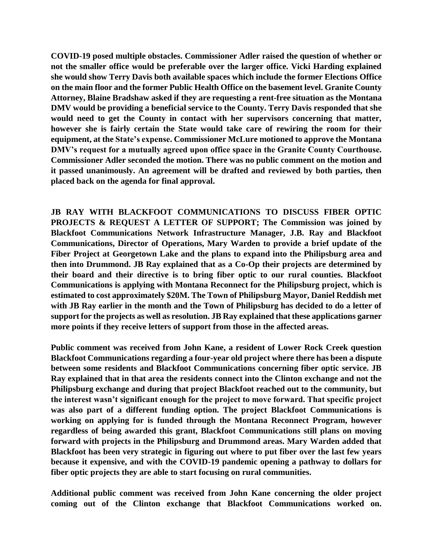**COVID-19 posed multiple obstacles. Commissioner Adler raised the question of whether or not the smaller office would be preferable over the larger office. Vicki Harding explained she would show Terry Davis both available spaces which include the former Elections Office on the main floor and the former Public Health Office on the basement level. Granite County Attorney, Blaine Bradshaw asked if they are requesting a rent-free situation as the Montana DMV would be providing a beneficial service to the County. Terry Davis responded that she would need to get the County in contact with her supervisors concerning that matter, however she is fairly certain the State would take care of rewiring the room for their equipment, at the State's expense. Commissioner McLure motioned to approve the Montana DMV's request for a mutually agreed upon office space in the Granite County Courthouse. Commissioner Adler seconded the motion. There was no public comment on the motion and it passed unanimously. An agreement will be drafted and reviewed by both parties, then placed back on the agenda for final approval.** 

**JB RAY WITH BLACKFOOT COMMUNICATIONS TO DISCUSS FIBER OPTIC PROJECTS & REQUEST A LETTER OF SUPPORT; The Commission was joined by Blackfoot Communications Network Infrastructure Manager, J.B. Ray and Blackfoot Communications, Director of Operations, Mary Warden to provide a brief update of the Fiber Project at Georgetown Lake and the plans to expand into the Philipsburg area and then into Drummond. JB Ray explained that as a Co-Op their projects are determined by their board and their directive is to bring fiber optic to our rural counties. Blackfoot Communications is applying with Montana Reconnect for the Philipsburg project, which is estimated to cost approximately \$20M. The Town of Philipsburg Mayor, Daniel Reddish met with JB Ray earlier in the month and the Town of Philipsburg has decided to do a letter of support for the projects as well as resolution. JB Ray explained that these applications garner more points if they receive letters of support from those in the affected areas.** 

**Public comment was received from John Kane, a resident of Lower Rock Creek question Blackfoot Communications regarding a four-year old project where there has been a dispute between some residents and Blackfoot Communications concerning fiber optic service. JB Ray explained that in that area the residents connect into the Clinton exchange and not the Philipsburg exchange and during that project Blackfoot reached out to the community, but the interest wasn't significant enough for the project to move forward. That specific project was also part of a different funding option. The project Blackfoot Communications is working on applying for is funded through the Montana Reconnect Program, however regardless of being awarded this grant, Blackfoot Communications still plans on moving forward with projects in the Philipsburg and Drummond areas. Mary Warden added that Blackfoot has been very strategic in figuring out where to put fiber over the last few years because it expensive, and with the COVID-19 pandemic opening a pathway to dollars for fiber optic projects they are able to start focusing on rural communities.** 

**Additional public comment was received from John Kane concerning the older project coming out of the Clinton exchange that Blackfoot Communications worked on.**